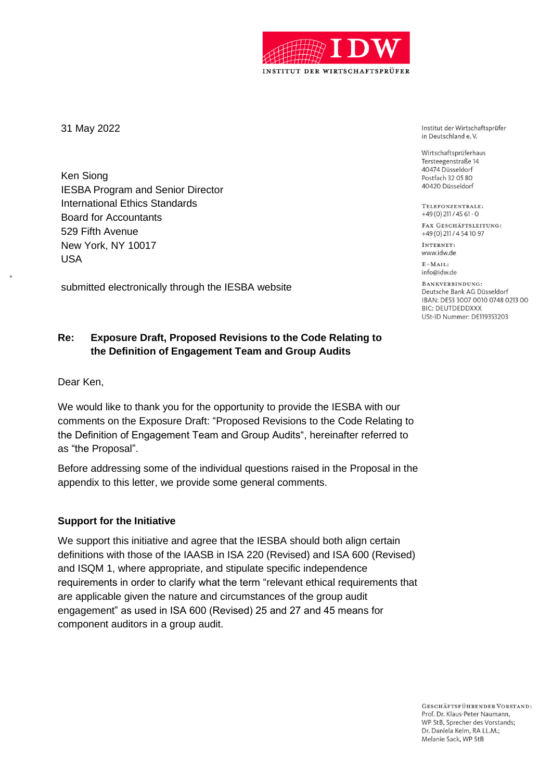

31 May 2022

Ken Siong IESBA Program and Senior Director International Ethics Standards Board for Accountants 529 Fifth Avenue New York, NY 10017 USA

submitted electronically through the IESBA website

# **Re: Exposure Draft, Proposed Revisions to the Code Relating to the Definition of Engagement Team and Group Audits**

Dear Ken,

We would like to thank you for the opportunity to provide the IESBA with our comments on the Exposure Draft: "Proposed Revisions to the Code Relating to the Definition of Engagement Team and Group Audits", hereinafter referred to as "the Proposal".

Before addressing some of the individual questions raised in the Proposal in the appendix to this letter, we provide some general comments.

## **Support for the Initiative**

We support this initiative and agree that the IESBA should both align certain definitions with those of the IAASB in ISA 220 (Revised) and ISA 600 (Revised) and ISQM 1, where appropriate, and stipulate specific independence requirements in order to clarify what the term "relevant ethical requirements that are applicable given the nature and circumstances of the group audit engagement" as used in ISA 600 (Revised) 25 and 27 and 45 means for component auditors in a group audit.

Institut der Wirtschaftsprüfer in Deutschland e.V.

Wirtschaftsprüferhaus Tersteegenstraße 14 40474 Düsseldorf Postfach 32 05 80 40420 Düsseldorf

TELEFONZENTRALE:  $+49(0)$  211 / 45 61 - 0

FAX GESCHÄFTSLEITUNG: +49 (0) 211 / 4 54 10 97

INTERNET: www.idw.de

 $E-MAIL$ info@idw.de

BANKVERBINDUNG: Deutsche Bank AG Düsseldorf IBAN: DE53 3007 0010 0748 0213 00 **BIC: DEUTDEDDXXX** USt-ID Nummer: DE119353203

GESCHÄFTSFÜHRENDER VORSTAND: Prof. Dr. Klaus-Peter Naumann, WP StB. Sprecher des Vorstands: Dr. Daniela Kelm, RA LL.M.: Melanie Sack, WP StB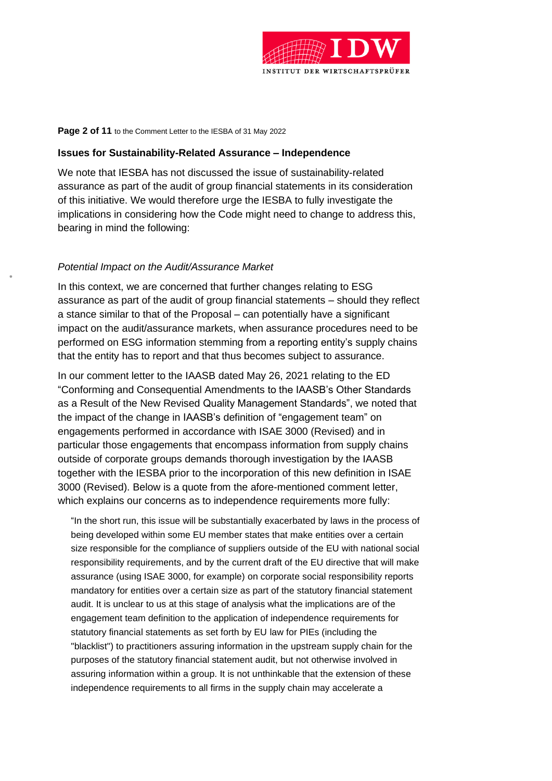

#### **Page 2 of 11** to the Comment Letter to the IESBA of 31 May 2022

#### **Issues for Sustainability-Related Assurance – Independence**

We note that IESBA has not discussed the issue of sustainability-related assurance as part of the audit of group financial statements in its consideration of this initiative. We would therefore urge the IESBA to fully investigate the implications in considering how the Code might need to change to address this, bearing in mind the following:

#### *Potential Impact on the Audit/Assurance Market*

In this context, we are concerned that further changes relating to ESG assurance as part of the audit of group financial statements – should they reflect a stance similar to that of the Proposal – can potentially have a significant impact on the audit/assurance markets, when assurance procedures need to be performed on ESG information stemming from a reporting entity's supply chains that the entity has to report and that thus becomes subject to assurance.

In our comment letter to the IAASB dated May 26, 2021 relating to the ED "Conforming and Consequential Amendments to the IAASB's Other Standards as a Result of the New Revised Quality Management Standards", we noted that the impact of the change in IAASB's definition of "engagement team" on engagements performed in accordance with ISAE 3000 (Revised) and in particular those engagements that encompass information from supply chains outside of corporate groups demands thorough investigation by the IAASB together with the IESBA prior to the incorporation of this new definition in ISAE 3000 (Revised). Below is a quote from the afore-mentioned comment letter, which explains our concerns as to independence requirements more fully:

"In the short run, this issue will be substantially exacerbated by laws in the process of being developed within some EU member states that make entities over a certain size responsible for the compliance of suppliers outside of the EU with national social responsibility requirements, and by the current draft of the EU directive that will make assurance (using ISAE 3000, for example) on corporate social responsibility reports mandatory for entities over a certain size as part of the statutory financial statement audit. It is unclear to us at this stage of analysis what the implications are of the engagement team definition to the application of independence requirements for statutory financial statements as set forth by EU law for PIEs (including the "blacklist") to practitioners assuring information in the upstream supply chain for the purposes of the statutory financial statement audit, but not otherwise involved in assuring information within a group. It is not unthinkable that the extension of these independence requirements to all firms in the supply chain may accelerate a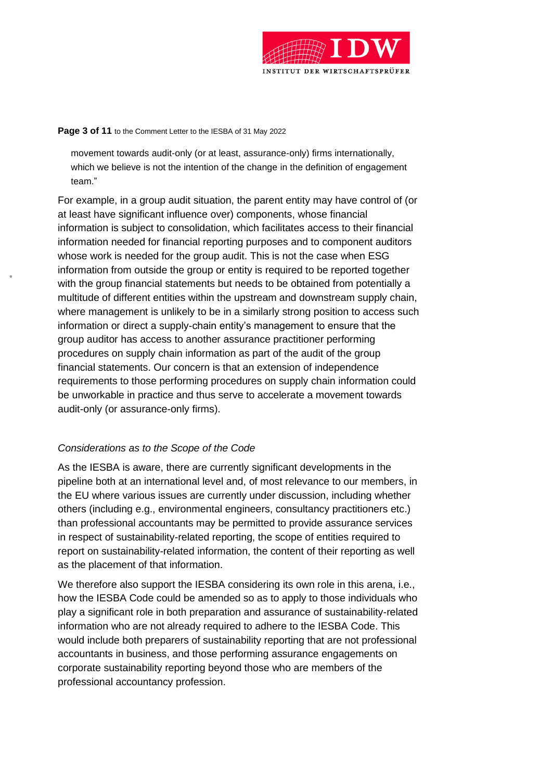

#### **Page 3 of 11** to the Comment Letter to the IESBA of 31 May 2022

movement towards audit-only (or at least, assurance-only) firms internationally, which we believe is not the intention of the change in the definition of engagement team."

For example, in a group audit situation, the parent entity may have control of (or at least have significant influence over) components, whose financial information is subject to consolidation, which facilitates access to their financial information needed for financial reporting purposes and to component auditors whose work is needed for the group audit. This is not the case when ESG information from outside the group or entity is required to be reported together with the group financial statements but needs to be obtained from potentially a multitude of different entities within the upstream and downstream supply chain, where management is unlikely to be in a similarly strong position to access such information or direct a supply-chain entity's management to ensure that the group auditor has access to another assurance practitioner performing procedures on supply chain information as part of the audit of the group financial statements. Our concern is that an extension of independence requirements to those performing procedures on supply chain information could be unworkable in practice and thus serve to accelerate a movement towards audit-only (or assurance-only firms).

## *Considerations as to the Scope of the Code*

As the IESBA is aware, there are currently significant developments in the pipeline both at an international level and, of most relevance to our members, in the EU where various issues are currently under discussion, including whether others (including e.g., environmental engineers, consultancy practitioners etc.) than professional accountants may be permitted to provide assurance services in respect of sustainability-related reporting, the scope of entities required to report on sustainability-related information, the content of their reporting as well as the placement of that information.

We therefore also support the IESBA considering its own role in this arena, i.e., how the IESBA Code could be amended so as to apply to those individuals who play a significant role in both preparation and assurance of sustainability-related information who are not already required to adhere to the IESBA Code. This would include both preparers of sustainability reporting that are not professional accountants in business, and those performing assurance engagements on corporate sustainability reporting beyond those who are members of the professional accountancy profession.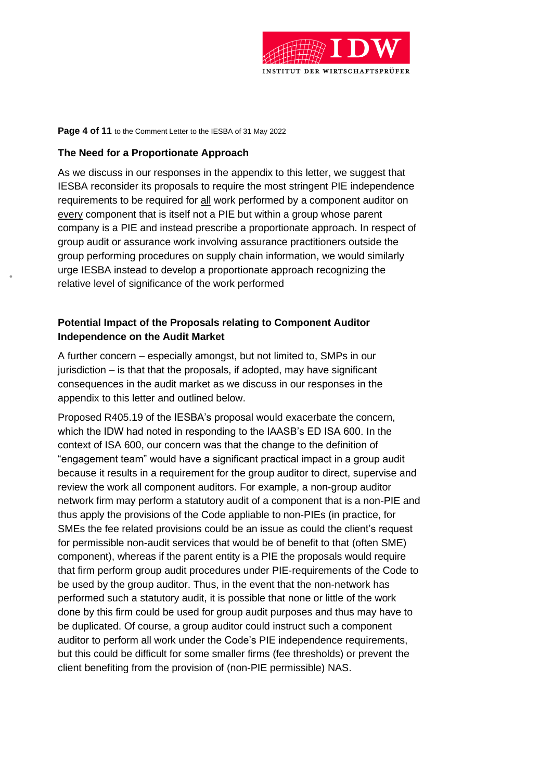

#### **Page 4 of 11** to the Comment Letter to the IESBA of 31 May 2022

#### **The Need for a Proportionate Approach**

As we discuss in our responses in the appendix to this letter, we suggest that IESBA reconsider its proposals to require the most stringent PIE independence requirements to be required for all work performed by a component auditor on every component that is itself not a PIE but within a group whose parent company is a PIE and instead prescribe a proportionate approach. In respect of group audit or assurance work involving assurance practitioners outside the group performing procedures on supply chain information, we would similarly urge IESBA instead to develop a proportionate approach recognizing the relative level of significance of the work performed

# **Potential Impact of the Proposals relating to Component Auditor Independence on the Audit Market**

A further concern – especially amongst, but not limited to, SMPs in our jurisdiction – is that that the proposals, if adopted, may have significant consequences in the audit market as we discuss in our responses in the appendix to this letter and outlined below.

Proposed R405.19 of the IESBA's proposal would exacerbate the concern, which the IDW had noted in responding to the IAASB's ED ISA 600. In the context of ISA 600, our concern was that the change to the definition of "engagement team" would have a significant practical impact in a group audit because it results in a requirement for the group auditor to direct, supervise and review the work all component auditors. For example, a non-group auditor network firm may perform a statutory audit of a component that is a non-PIE and thus apply the provisions of the Code appliable to non-PIEs (in practice, for SMEs the fee related provisions could be an issue as could the client's request for permissible non-audit services that would be of benefit to that (often SME) component), whereas if the parent entity is a PIE the proposals would require that firm perform group audit procedures under PIE-requirements of the Code to be used by the group auditor. Thus, in the event that the non-network has performed such a statutory audit, it is possible that none or little of the work done by this firm could be used for group audit purposes and thus may have to be duplicated. Of course, a group auditor could instruct such a component auditor to perform all work under the Code's PIE independence requirements, but this could be difficult for some smaller firms (fee thresholds) or prevent the client benefiting from the provision of (non-PIE permissible) NAS.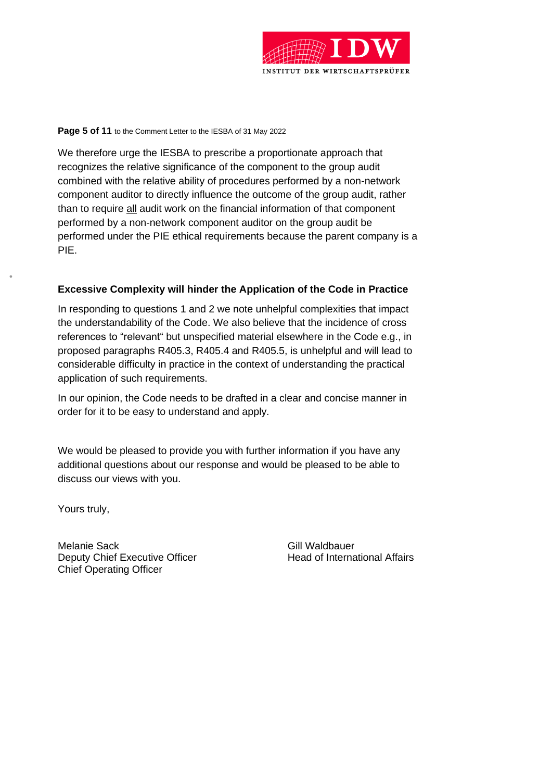

#### **Page 5 of 11** to the Comment Letter to the IESBA of 31 May 2022

We therefore urge the IESBA to prescribe a proportionate approach that recognizes the relative significance of the component to the group audit combined with the relative ability of procedures performed by a non-network component auditor to directly influence the outcome of the group audit, rather than to require all audit work on the financial information of that component performed by a non-network component auditor on the group audit be performed under the PIE ethical requirements because the parent company is a PIE.

## **Excessive Complexity will hinder the Application of the Code in Practice**

In responding to questions 1 and 2 we note unhelpful complexities that impact the understandability of the Code. We also believe that the incidence of cross references to "relevant" but unspecified material elsewhere in the Code e.g., in proposed paragraphs R405.3, R405.4 and R405.5, is unhelpful and will lead to considerable difficulty in practice in the context of understanding the practical application of such requirements.

In our opinion, the Code needs to be drafted in a clear and concise manner in order for it to be easy to understand and apply.

We would be pleased to provide you with further information if you have any additional questions about our response and would be pleased to be able to discuss our views with you.

Yours truly,

Melanie Sack Gill Waldbauer Deputy Chief Executive Officer **Head of International Affairs** Chief Operating Officer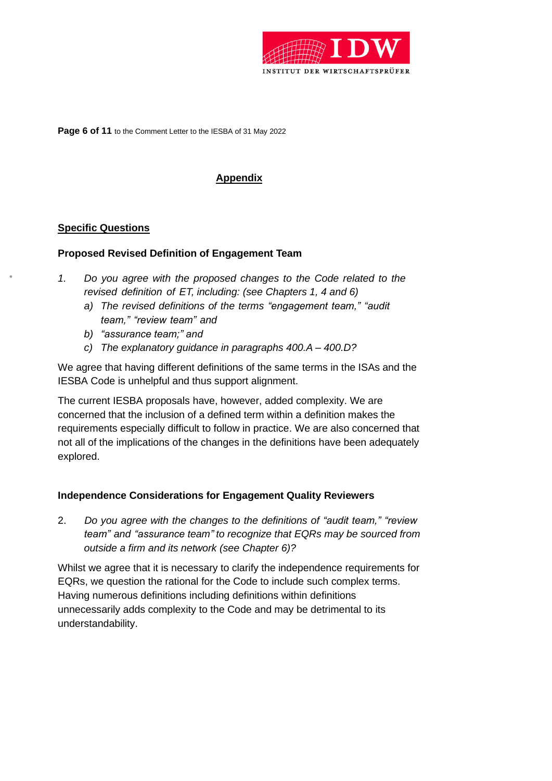

**Page 6 of 11** to the Comment Letter to the IESBA of 31 May 2022

# **Appendix**

## **Specific Questions**

## **Proposed Revised Definition of Engagement Team**

- *1. Do you agree with the proposed changes to the Code related to the revised definition of ET, including: (see Chapters 1, 4 and 6)*
	- *a) The revised definitions of the terms "engagement team," "audit team," "review team" and*
	- *b) "assurance team;" and*
	- *c) The explanatory guidance in paragraphs 400.A – 400.D?*

We agree that having different definitions of the same terms in the ISAs and the IESBA Code is unhelpful and thus support alignment.

The current IESBA proposals have, however, added complexity. We are concerned that the inclusion of a defined term within a definition makes the requirements especially difficult to follow in practice. We are also concerned that not all of the implications of the changes in the definitions have been adequately explored.

## **Independence Considerations for Engagement Quality Reviewers**

2. *Do you agree with the changes to the definitions of "audit team," "review team" and "assurance team" to recognize that EQRs may be sourced from outside a firm and its network (see Chapter 6)?*

Whilst we agree that it is necessary to clarify the independence requirements for EQRs, we question the rational for the Code to include such complex terms. Having numerous definitions including definitions within definitions unnecessarily adds complexity to the Code and may be detrimental to its understandability.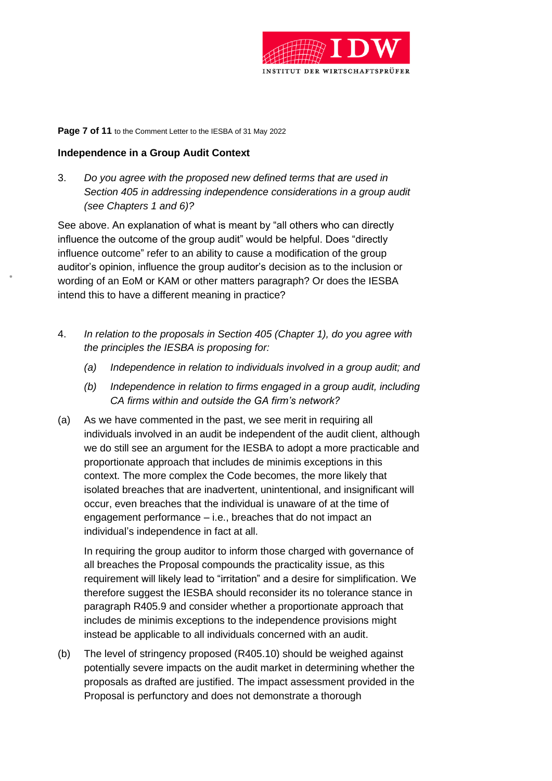

#### **Page 7 of 11** to the Comment Letter to the IESBA of 31 May 2022

#### **Independence in a Group Audit Context**

3. *Do you agree with the proposed new defined terms that are used in Section 405 in addressing independence considerations in a group audit (see Chapters 1 and 6)?*

See above. An explanation of what is meant by "all others who can directly influence the outcome of the group audit" would be helpful. Does "directly influence outcome" refer to an ability to cause a modification of the group auditor's opinion, influence the group auditor's decision as to the inclusion or wording of an EoM or KAM or other matters paragraph? Or does the IESBA intend this to have a different meaning in practice?

- 4. *In relation to the proposals in Section 405 (Chapter 1), do you agree with the principles the IESBA is proposing for:*
	- *(a) Independence in relation to individuals involved in a group audit; and*
	- *(b) Independence in relation to firms engaged in a group audit, including CA firms within and outside the GA firm's network?*
- (a) As we have commented in the past, we see merit in requiring all individuals involved in an audit be independent of the audit client, although we do still see an argument for the IESBA to adopt a more practicable and proportionate approach that includes de minimis exceptions in this context. The more complex the Code becomes, the more likely that isolated breaches that are inadvertent, unintentional, and insignificant will occur, even breaches that the individual is unaware of at the time of engagement performance – i.e., breaches that do not impact an individual's independence in fact at all.

In requiring the group auditor to inform those charged with governance of all breaches the Proposal compounds the practicality issue, as this requirement will likely lead to "irritation" and a desire for simplification. We therefore suggest the IESBA should reconsider its no tolerance stance in paragraph R405.9 and consider whether a proportionate approach that includes de minimis exceptions to the independence provisions might instead be applicable to all individuals concerned with an audit.

(b) The level of stringency proposed (R405.10) should be weighed against potentially severe impacts on the audit market in determining whether the proposals as drafted are justified. The impact assessment provided in the Proposal is perfunctory and does not demonstrate a thorough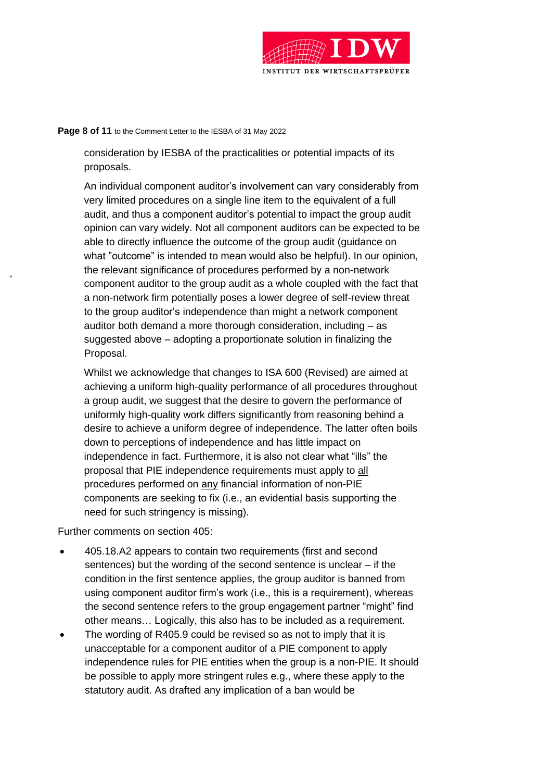

#### **Page 8 of 11** to the Comment Letter to the IESBA of 31 May 2022

consideration by IESBA of the practicalities or potential impacts of its proposals.

An individual component auditor's involvement can vary considerably from very limited procedures on a single line item to the equivalent of a full audit, and thus a component auditor's potential to impact the group audit opinion can vary widely. Not all component auditors can be expected to be able to directly influence the outcome of the group audit (guidance on what "outcome" is intended to mean would also be helpful). In our opinion, the relevant significance of procedures performed by a non-network component auditor to the group audit as a whole coupled with the fact that a non-network firm potentially poses a lower degree of self-review threat to the group auditor's independence than might a network component auditor both demand a more thorough consideration, including – as suggested above – adopting a proportionate solution in finalizing the Proposal.

Whilst we acknowledge that changes to ISA 600 (Revised) are aimed at achieving a uniform high-quality performance of all procedures throughout a group audit, we suggest that the desire to govern the performance of uniformly high-quality work differs significantly from reasoning behind a desire to achieve a uniform degree of independence. The latter often boils down to perceptions of independence and has little impact on independence in fact. Furthermore, it is also not clear what "ills" the proposal that PIE independence requirements must apply to all procedures performed on any financial information of non-PIE components are seeking to fix (i.e., an evidential basis supporting the need for such stringency is missing).

Further comments on section 405:

- 405.18.A2 appears to contain two requirements (first and second sentences) but the wording of the second sentence is unclear – if the condition in the first sentence applies, the group auditor is banned from using component auditor firm's work (i.e., this is a requirement), whereas the second sentence refers to the group engagement partner "might" find other means… Logically, this also has to be included as a requirement.
- The wording of R405.9 could be revised so as not to imply that it is unacceptable for a component auditor of a PIE component to apply independence rules for PIE entities when the group is a non-PIE. It should be possible to apply more stringent rules e.g., where these apply to the statutory audit. As drafted any implication of a ban would be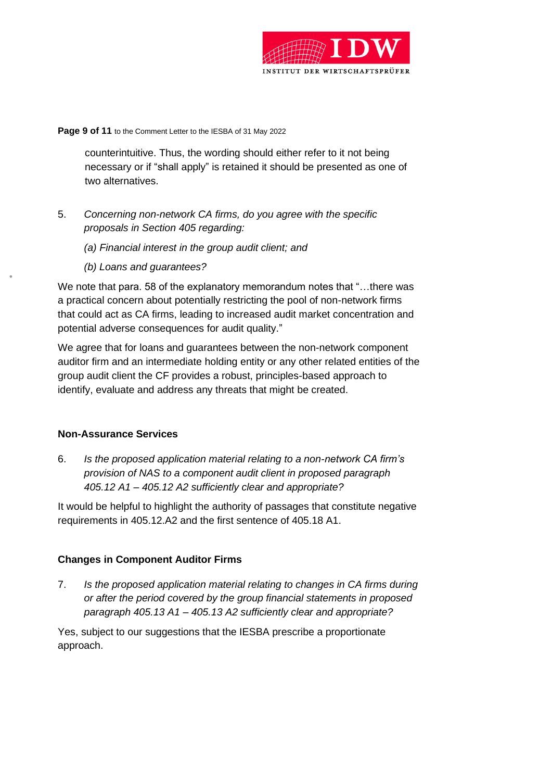

#### **Page 9 of 11** to the Comment Letter to the IESBA of 31 May 2022

counterintuitive. Thus, the wording should either refer to it not being necessary or if "shall apply" is retained it should be presented as one of two alternatives.

- 5. *Concerning non-network CA firms, do you agree with the specific proposals in Section 405 regarding:*
	- *(a) Financial interest in the group audit client; and*
	- *(b) Loans and guarantees?*

We note that para. 58 of the explanatory memorandum notes that "...there was a practical concern about potentially restricting the pool of non-network firms that could act as CA firms, leading to increased audit market concentration and potential adverse consequences for audit quality."

We agree that for loans and guarantees between the non-network component auditor firm and an intermediate holding entity or any other related entities of the group audit client the CF provides a robust, principles-based approach to identify, evaluate and address any threats that might be created.

## **Non-Assurance Services**

6. *Is the proposed application material relating to a non-network CA firm's provision of NAS to a component audit client in proposed paragraph 405.12 A1 – 405.12 A2 sufficiently clear and appropriate?*

It would be helpful to highlight the authority of passages that constitute negative requirements in 405.12.A2 and the first sentence of 405.18 A1.

# **Changes in Component Auditor Firms**

7. *Is the proposed application material relating to changes in CA firms during or after the period covered by the group financial statements in proposed paragraph 405.13 A1 – 405.13 A2 sufficiently clear and appropriate?*

Yes, subject to our suggestions that the IESBA prescribe a proportionate approach.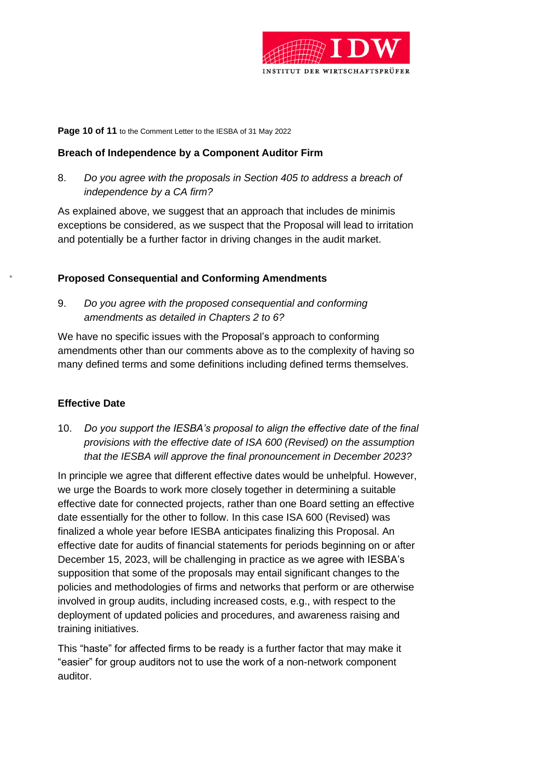

#### **Page 10 of 11** to the Comment Letter to the IESBA of 31 May 2022

## **Breach of Independence by a Component Auditor Firm**

8. *Do you agree with the proposals in Section 405 to address a breach of independence by a CA firm?*

As explained above, we suggest that an approach that includes de minimis exceptions be considered, as we suspect that the Proposal will lead to irritation and potentially be a further factor in driving changes in the audit market.

## **Proposed Consequential and Conforming Amendments**

9. *Do you agree with the proposed consequential and conforming amendments as detailed in Chapters 2 to 6?*

We have no specific issues with the Proposal's approach to conforming amendments other than our comments above as to the complexity of having so many defined terms and some definitions including defined terms themselves.

## **Effective Date**

10. *Do you support the IESBA's proposal to align the effective date of the final provisions with the effective date of ISA 600 (Revised) on the assumption that the IESBA will approve the final pronouncement in December 2023?*

In principle we agree that different effective dates would be unhelpful. However, we urge the Boards to work more closely together in determining a suitable effective date for connected projects, rather than one Board setting an effective date essentially for the other to follow. In this case ISA 600 (Revised) was finalized a whole year before IESBA anticipates finalizing this Proposal. An effective date for audits of financial statements for periods beginning on or after December 15, 2023, will be challenging in practice as we agree with IESBA's supposition that some of the proposals may entail significant changes to the policies and methodologies of firms and networks that perform or are otherwise involved in group audits, including increased costs, e.g., with respect to the deployment of updated policies and procedures, and awareness raising and training initiatives.

This "haste" for affected firms to be ready is a further factor that may make it "easier" for group auditors not to use the work of a non-network component auditor.